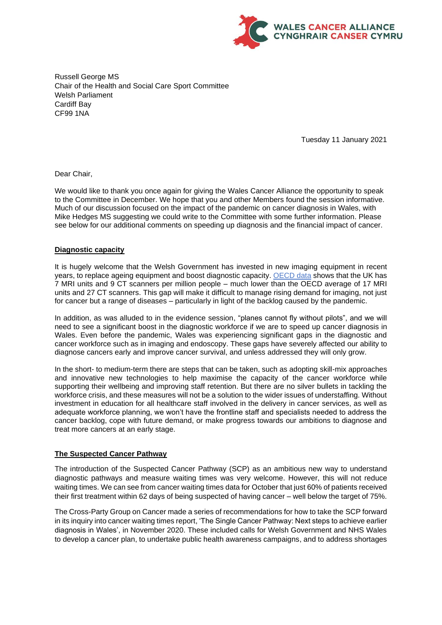

Russell George MS Chair of the Health and Social Care Sport Committee Welsh Parliament Cardiff Bay CF99 1NA

Tuesday 11 January 2021

Dear Chair,

We would like to thank you once again for giving the Wales Cancer Alliance the opportunity to speak to the Committee in December. We hope that you and other Members found the session informative. Much of our discussion focused on the impact of the pandemic on cancer diagnosis in Wales, with Mike Hedges MS suggesting we could write to the Committee with some further information. Please see below for our additional comments on speeding up diagnosis and the financial impact of cancer.

#### **Diagnostic capacity**

It is hugely welcome that the Welsh Government has invested in new imaging equipment in recent years, to replace ageing equipment and boost diagnostic capacity. [OECD data](https://doi.org/10.1787/4dd50c09-en) shows that the UK has 7 MRI units and 9 CT scanners per million people – much lower than the OECD average of 17 MRI units and 27 CT scanners. This gap will make it difficult to manage rising demand for imaging, not just for cancer but a range of diseases – particularly in light of the backlog caused by the pandemic.

In addition, as was alluded to in the evidence session, "planes cannot fly without pilots", and we will need to see a significant boost in the diagnostic workforce if we are to speed up cancer diagnosis in Wales. Even before the pandemic, Wales was experiencing significant gaps in the diagnostic and cancer workforce such as in imaging and endoscopy. These gaps have severely affected our ability to diagnose cancers early and improve cancer survival, and unless addressed they will only grow.

In the short- to medium-term there are steps that can be taken, such as adopting skill-mix approaches and innovative new technologies to help maximise the capacity of the cancer workforce while supporting their wellbeing and improving staff retention. But there are no silver bullets in tackling the workforce crisis, and these measures will not be a solution to the wider issues of understaffing. Without investment in education for all healthcare staff involved in the delivery in cancer services, as well as adequate workforce planning, we won't have the frontline staff and specialists needed to address the cancer backlog, cope with future demand, or make progress towards our ambitions to diagnose and treat more cancers at an early stage.

# **The Suspected Cancer Pathway**

The introduction of the Suspected Cancer Pathway (SCP) as an ambitious new way to understand diagnostic pathways and measure waiting times was very welcome. However, this will not reduce waiting times. We can see from cancer waiting times data for October that just 60% of patients received their first treatment within 62 days of being suspected of having cancer – well below the target of 75%.

The Cross-Party Group on Cancer made a series of recommendations for how to take the SCP forward in its inquiry into cancer waiting times report, 'The Single Cancer Pathway: Next steps to achieve earlier diagnosis in Wales', in November 2020. These included calls for Welsh Government and NHS Wales to develop a cancer plan, to undertake public health awareness campaigns, and to address shortages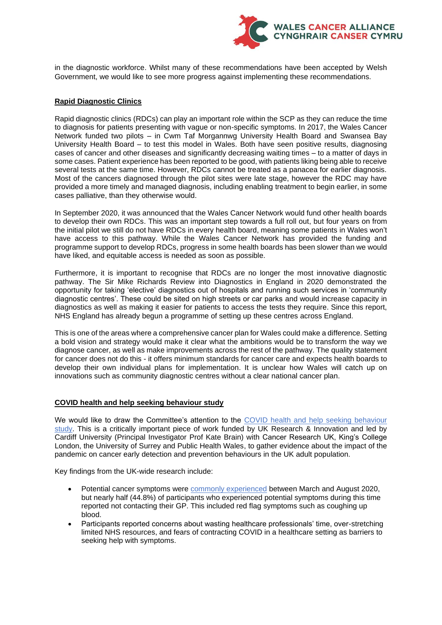

in the diagnostic workforce. Whilst many of these recommendations have been accepted by Welsh Government, we would like to see more progress against implementing these recommendations.

## **Rapid Diagnostic Clinics**

Rapid diagnostic clinics (RDCs) can play an important role within the SCP as they can reduce the time to diagnosis for patients presenting with vague or non-specific symptoms. In 2017, the Wales Cancer Network funded two pilots – in Cwm Taf Morgannwg University Health Board and Swansea Bay University Health Board – to test this model in Wales. Both have seen positive results, diagnosing cases of cancer and other diseases and significantly decreasing waiting times – to a matter of days in some cases. Patient experience has been reported to be good, with patients liking being able to receive several tests at the same time. However, RDCs cannot be treated as a panacea for earlier diagnosis. Most of the cancers diagnosed through the pilot sites were late stage, however the RDC may have provided a more timely and managed diagnosis, including enabling treatment to begin earlier, in some cases palliative, than they otherwise would.

In September 2020, it was announced that the Wales Cancer Network would fund other health boards to develop their own RDCs. This was an important step towards a full roll out, but four years on from the initial pilot we still do not have RDCs in every health board, meaning some patients in Wales won't have access to this pathway. While the Wales Cancer Network has provided the funding and programme support to develop RDCs, progress in some health boards has been slower than we would have liked, and equitable access is needed as soon as possible.

Furthermore, it is important to recognise that RDCs are no longer the most innovative diagnostic pathway. The Sir Mike Richards Review into Diagnostics in England in 2020 demonstrated the opportunity for taking 'elective' diagnostics out of hospitals and running such services in 'community diagnostic centres'. These could be sited on high streets or car parks and would increase capacity in diagnostics as well as making it easier for patients to access the tests they require. Since this report, NHS England has already begun a programme of setting up these centres across England.

This is one of the areas where a comprehensive cancer plan for Wales could make a difference. Setting a bold vision and strategy would make it clear what the ambitions would be to transform the way we diagnose cancer, as well as make improvements across the rest of the pathway. The quality statement for cancer does not do this - it offers minimum standards for cancer care and expects health boards to develop their own individual plans for implementation. It is unclear how Wales will catch up on innovations such as community diagnostic centres without a clear national cancer plan.

# **COVID health and help seeking behaviour study**

We would like to draw the Committee's attention to the COVID health and help seeking behaviour [study.](https://www.cardiff.ac.uk/centre-for-trials-research/research/studies-and-trials/view/covid-health-and-help-seeking-behaviour-study) This is a critically important piece of work funded by UK Research & Innovation and led by Cardiff University (Principal Investigator Prof Kate Brain) with Cancer Research UK, King's College London, the University of Surrey and Public Health Wales, to gather evidence about the impact of the pandemic on cancer early detection and prevention behaviours in the UK adult population.

Key findings from the UK-wide research include:

- Potential cancer symptoms were [commonly experienced](https://bmjopen.bmj.com/content/11/9/e053095) between March and August 2020, but nearly half (44.8%) of participants who experienced potential symptoms during this time reported not contacting their GP. This included red flag symptoms such as coughing up blood.
- Participants reported concerns about wasting healthcare professionals' time, over-stretching limited NHS resources, and fears of contracting COVID in a healthcare setting as barriers to seeking help with symptoms.